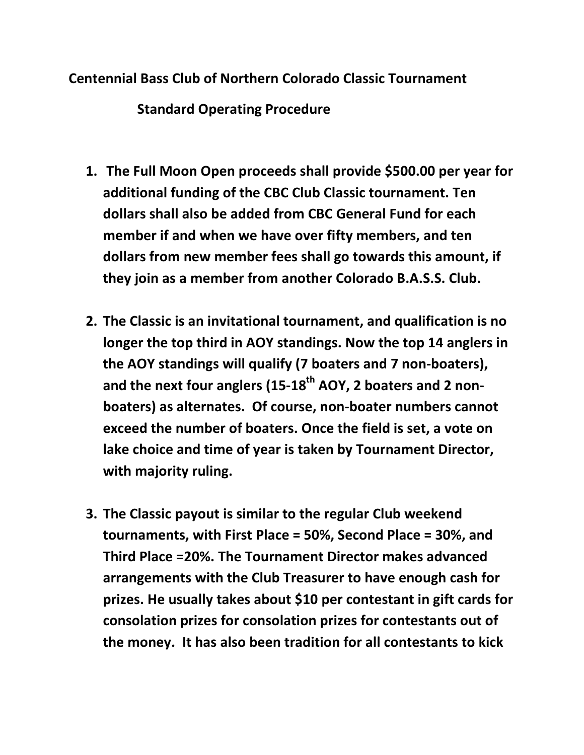## Centennial Bass Club of Northern Colorado Classic Tournament

Standard Operating Procedure

- 1. The Full Moon Open proceeds shall provide \$500.00 per year for additional funding of the CBC Club Classic tournament. Ten dollars shall also be added from CBC General Fund for each member if and when we have over fifty members, and ten dollars from new member fees shall go towards this amount, if they join as a member from another Colorado B.A.S.S. Club.
- 2. The Classic is an invitational tournament, and qualification is no longer the top third in AOY standings. Now the top 14 anglers in the AOY standings will qualify (7 boaters and 7 non-boaters), and the next four anglers (15-18<sup>th</sup> AOY, 2 boaters and 2 nonboaters) as alternates. Of course, non-boater numbers cannot exceed the number of boaters. Once the field is set, a vote on lake choice and time of year is taken by Tournament Director, with majority ruling.
- 3. The Classic payout is similar to the regular Club weekend tournaments, with First Place = 50%, Second Place = 30%, and Third Place =20%. The Tournament Director makes advanced arrangements with the Club Treasurer to have enough cash for prizes. He usually takes about \$10 per contestant in gift cards for consolation prizes for consolation prizes for contestants out of the money. It has also been tradition for all contestants to kick